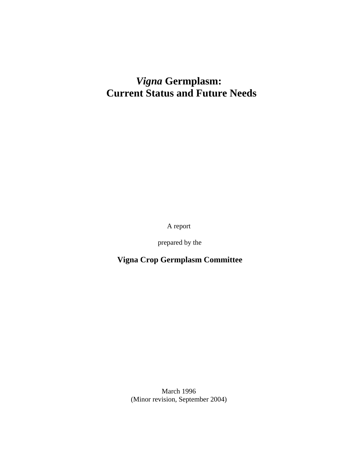# *Vigna* **Germplasm: Current Status and Future Needs**

A report

prepared by the

 **Vigna Crop Germplasm Committee**

March 1996 (Minor revision, September 2004)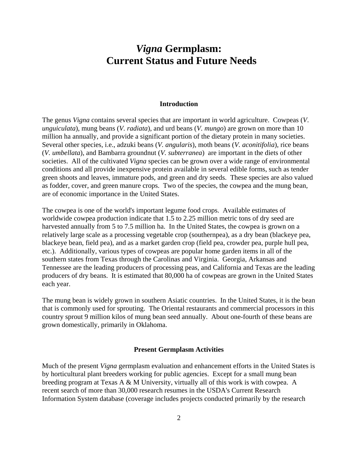# *Vigna* **Germplasm: Current Status and Future Needs**

#### **Introduction**

The genus *Vigna* contains several species that are important in world agriculture. Cowpeas (*V*. *unguiculata*), mung beans (*V. radiata*), and urd beans (*V. mungo*) are grown on more than 10 million ha annually, and provide a significant portion of the dietary protein in many societies. Several other species, i.e., adzuki beans (*V. angularis*), moth beans (*V. aconitifolia*), rice beans (*V. umbellata*), and Bambarra groundnut (*V. subterranea*) are important in the diets of other societies. All of the cultivated *Vigna* species can be grown over a wide range of environmental conditions and all provide inexpensive protein available in several edible forms, such as tender green shoots and leaves, immature pods, and green and dry seeds. These species are also valued as fodder, cover, and green manure crops. Two of the species, the cowpea and the mung bean, are of economic importance in the United States.

The cowpea is one of the world's important legume food crops. Available estimates of worldwide cowpea production indicate that 1.5 to 2.25 million metric tons of dry seed are harvested annually from 5 to 7.5 million ha. In the United States, the cowpea is grown on a relatively large scale as a processing vegetable crop (southernpea), as a dry bean (blackeye pea, blackeye bean, field pea), and as a market garden crop (field pea, crowder pea, purple hull pea, etc.). Additionally, various types of cowpeas are popular home garden items in all of the southern states from Texas through the Carolinas and Virginia. Georgia, Arkansas and Tennessee are the leading producers of processing peas, and California and Texas are the leading producers of dry beans. It is estimated that 80,000 ha of cowpeas are grown in the United States each year.

The mung bean is widely grown in southern Asiatic countries. In the United States, it is the bean that is commonly used for sprouting. The Oriental restaurants and commercial processors in this country sprout 9 million kilos of mung bean seed annually. About one-fourth of these beans are grown domestically, primarily in Oklahoma.

#### **Present Germplasm Activities**

Much of the present *Vigna* germplasm evaluation and enhancement efforts in the United States is by horticultural plant breeders working for public agencies. Except for a small mung bean breeding program at Texas A & M University, virtually all of this work is with cowpea. A recent search of more than 30,000 research resumes in the USDA's Current Research Information System database (coverage includes projects conducted primarily by the research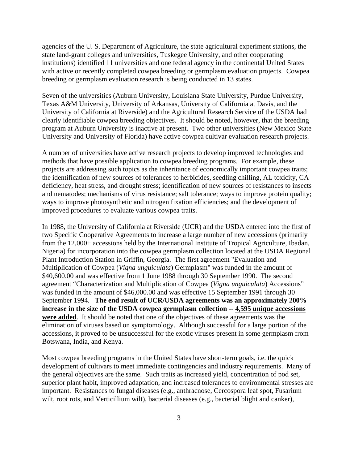agencies of the U. S. Department of Agriculture, the state agricultural experiment stations, the state land-grant colleges and universities, Tuskegee University, and other cooperating institutions) identified 11 universities and one federal agency in the continental United States with active or recently completed cowpea breeding or germplasm evaluation projects. Cowpea breeding or germplasm evaluation research is being conducted in 13 states.

Seven of the universities (Auburn University, Louisiana State University, Purdue University, Texas A&M University, University of Arkansas, University of California at Davis, and the University of California at Riverside) and the Agricultural Research Service of the USDA had clearly identifiable cowpea breeding objectives. It should be noted, however, that the breeding program at Auburn University is inactive at present. Two other universities (New Mexico State University and University of Florida) have active cowpea cultivar evaluation research projects.

A number of universities have active research projects to develop improved technologies and methods that have possible application to cowpea breeding programs. For example, these projects are addressing such topics as the inheritance of economically important cowpea traits; the identification of new sources of tolerances to herbicides, seedling chilling, AL toxicity, CA deficiency, heat stress, and drought stress; identification of new sources of resistances to insects and nematodes; mechanisms of virus resistance; salt tolerance; ways to improve protein quality; ways to improve photosynthetic and nitrogen fixation efficiencies; and the development of improved procedures to evaluate various cowpea traits.

In 1988, the University of California at Riverside (UCR) and the USDA entered into the first of two Specific Cooperative Agreements to increase a large number of new accessions (primarily from the 12,000+ accessions held by the International Institute of Tropical Agriculture, Ibadan, Nigeria) for incorporation into the cowpea germplasm collection located at the USDA Regional Plant Introduction Station in Griffin, Georgia. The first agreement "Evaluation and Multiplication of Cowpea (*Vigna unguiculata*) Germplasm" was funded in the amount of \$40,600.00 and was effective from 1 June 1988 through 30 September 1990. The second agreement "Characterization and Multiplication of Cowpea (*Vigna unguiculata*) Accessions" was funded in the amount of \$46,000.00 and was effective 15 September 1991 through 30 September 1994. **The end result of UCR/USDA agreements was an approximately 200% increase in the size of the USDA cowpea germplasm collection** -- **4,595 unique accessions were added**. It should be noted that one of the objectives of these agreements was the elimination of viruses based on symptomology. Although successful for a large portion of the accessions, it proved to be unsuccessful for the exotic viruses present in some germplasm from Botswana, India, and Kenya.

Most cowpea breeding programs in the United States have short-term goals, i.e. the quick development of cultivars to meet immediate contingencies and industry requirements. Many of the general objectives are the same. Such traits as increased yield, concentration of pod set, superior plant habit, improved adaptation, and increased tolerances to environmental stresses are important. Resistances to fungal diseases (e.g., anthracnose, Cercospora leaf spot, Fusarium wilt, root rots, and Verticillium wilt), bacterial diseases (e.g., bacterial blight and canker),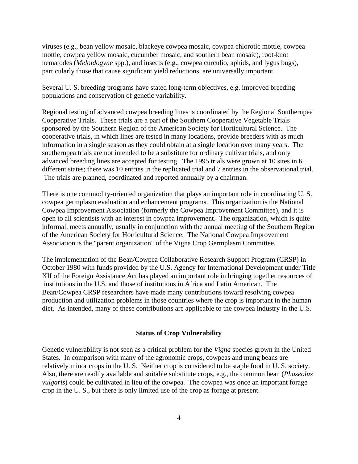viruses (e.g., bean yellow mosaic, blackeye cowpea mosaic, cowpea chlorotic mottle, cowpea mottle, cowpea yellow mosaic, cucumber mosaic, and southern bean mosaic), root-knot nematodes (*Meloidogyne* spp.), and insects (e.g., cowpea curculio, aphids, and lygus bugs), particularly those that cause significant yield reductions, are universally important.

Several U. S. breeding programs have stated long-term objectives, e.g. improved breeding populations and conservation of genetic variability.

Regional testing of advanced cowpea breeding lines is coordinated by the Regional Southernpea Cooperative Trials. These trials are a part of the Southern Cooperative Vegetable Trials sponsored by the Southern Region of the American Society for Horticultural Science. The cooperative trials, in which lines are tested in many locations, provide breeders with as much information in a single season as they could obtain at a single location over many years. The southernpea trials are not intended to be a substitute for ordinary cultivar trials, and only advanced breeding lines are accepted for testing. The 1995 trials were grown at 10 sites in 6 different states; there was 10 entries in the replicated trial and 7 entries in the observational trial. The trials are planned, coordinated and reported annually by a chairman.

There is one commodity-oriented organization that plays an important role in coordinating U. S. cowpea germplasm evaluation and enhancement programs. This organization is the National Cowpea Improvement Association (formerly the Cowpea Improvement Committee), and it is open to all scientists with an interest in cowpea improvement. The organization, which is quite informal, meets annually, usually in conjunction with the annual meeting of the Southern Region of the American Society for Horticultural Science. The National Cowpea Improvement Association is the "parent organization" of the Vigna Crop Germplasm Committee.

The implementation of the Bean/Cowpea Collaborative Research Support Program (CRSP) in October 1980 with funds provided by the U.S. Agency for International Development under Title XII of the Foreign Assistance Act has played an important role in bringing together resources of institutions in the U.S. and those of institutions in Africa and Latin American. The Bean/Cowpea CRSP researchers have made many contributions toward resolving cowpea production and utilization problems in those countries where the crop is important in the human diet. As intended, many of these contributions are applicable to the cowpea industry in the U.S.

## **Status of Crop Vulnerability**

Genetic vulnerability is not seen as a critical problem for the *Vigna* species grown in the United States. In comparison with many of the agronomic crops, cowpeas and mung beans are relatively minor crops in the U. S. Neither crop is considered to be staple food in U. S. society. Also, there are readily available and suitable substitute crops, e.g., the common bean (*Phaseolus vulgaris*) could be cultivated in lieu of the cowpea. The cowpea was once an important forage crop in the U. S., but there is only limited use of the crop as forage at present.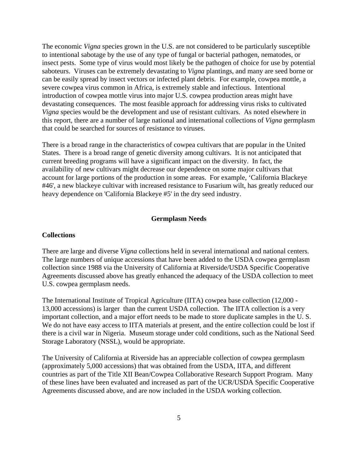The economic *Vigna* species grown in the U.S. are not considered to be particularly susceptible to intentional sabotage by the use of any type of fungal or bacterial pathogen, nematodes, or insect pests. Some type of virus would most likely be the pathogen of choice for use by potential saboteurs. Viruses can be extremely devastating to *Vigna* plantings, and many are seed borne or can be easily spread by insect vectors or infected plant debris. For example, cowpea mottle, a severe cowpea virus common in Africa, is extremely stable and infectious. Intentional introduction of cowpea mottle virus into major U.S. cowpea production areas might have devastating consequences. The most feasible approach for addressing virus risks to cultivated *Vigna* species would be the development and use of resistant cultivars. As noted elsewhere in this report, there are a number of large national and international collections of *Vigna* germplasm that could be searched for sources of resistance to viruses.

There is a broad range in the characteristics of cowpea cultivars that are popular in the United States. There is a broad range of genetic diversity among cultivars. It is not anticipated that current breeding programs will have a significant impact on the diversity. In fact, the availability of new cultivars might decrease our dependence on some major cultivars that account for large portions of the production in some areas. For example, 'California Blackeye #46', a new blackeye cultivar with increased resistance to Fusarium wilt, has greatly reduced our heavy dependence on 'California Blackeye #5' in the dry seed industry.

# **Germplasm Needs**

#### **Collections**

There are large and diverse *Vigna* collections held in several international and national centers. The large numbers of unique accessions that have been added to the USDA cowpea germplasm collection since 1988 via the University of California at Riverside/USDA Specific Cooperative Agreements discussed above has greatly enhanced the adequacy of the USDA collection to meet U.S. cowpea germplasm needs.

The International Institute of Tropical Agriculture (IITA) cowpea base collection (12,000 - 13,000 accessions) is larger than the current USDA collection. The IITA collection is a very important collection, and a major effort needs to be made to store duplicate samples in the U. S. We do not have easy access to IITA materials at present, and the entire collection could be lost if there is a civil war in Nigeria. Museum storage under cold conditions, such as the National Seed Storage Laboratory (NSSL), would be appropriate.

The University of California at Riverside has an appreciable collection of cowpea germplasm (approximately 5,000 accessions) that was obtained from the USDA, IITA, and different countries as part of the Title XII Bean/Cowpea Collaborative Research Support Program. Many of these lines have been evaluated and increased as part of the UCR/USDA Specific Cooperative Agreements discussed above, and are now included in the USDA working collection.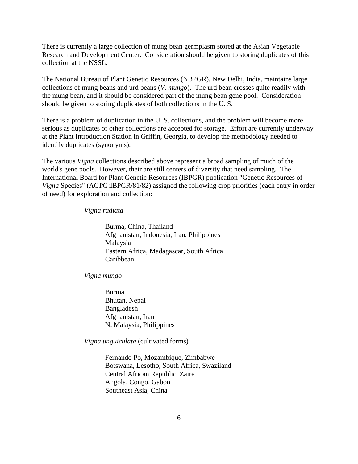There is currently a large collection of mung bean germplasm stored at the Asian Vegetable Research and Development Center. Consideration should be given to storing duplicates of this collection at the NSSL.

The National Bureau of Plant Genetic Resources (NBPGR), New Delhi, India, maintains large collections of mung beans and urd beans (*V. mungo*). The urd bean crosses quite readily with the mung bean, and it should be considered part of the mung bean gene pool. Consideration should be given to storing duplicates of both collections in the U. S.

There is a problem of duplication in the U. S. collections, and the problem will become more serious as duplicates of other collections are accepted for storage. Effort are currently underway at the Plant Introduction Station in Griffin, Georgia, to develop the methodology needed to identify duplicates (synonyms).

The various *Vigna* collections described above represent a broad sampling of much of the world's gene pools. However, their are still centers of diversity that need sampling. The International Board for Plant Genetic Resources (IBPGR) publication "Genetic Resources of *Vigna* Species" (AGPG:IBPGR/81/82) assigned the following crop priorities (each entry in order of need) for exploration and collection:

#### *Vigna radiata*

Burma, China, Thailand Afghanistan, Indonesia, Iran, Philippines Malaysia Eastern Africa, Madagascar, South Africa Caribbean

*Vigna mungo*

Burma Bhutan, Nepal Bangladesh Afghanistan, Iran N. Malaysia, Philippines

*Vigna unguiculata* (cultivated forms)

Fernando Po, Mozambique, Zimbabwe Botswana, Lesotho, South Africa, Swaziland Central African Republic, Zaire Angola, Congo, Gabon Southeast Asia, China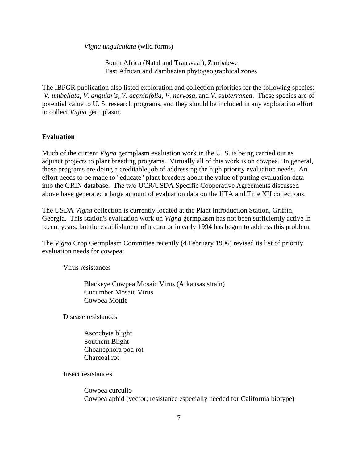*Vigna unguiculata* (wild forms)

South Africa (Natal and Transvaal), Zimbabwe East African and Zambezian phytogeographical zones

The IBPGR publication also listed exploration and collection priorities for the following species: *V. umbellata, V. angularis, V. aconitifolia, V. nervosa*, and *V. subterranea*. These species are of potential value to U. S. research programs, and they should be included in any exploration effort to collect *Vigna* germplasm.

# **Evaluation**

Much of the current *Vigna* germplasm evaluation work in the U. S. is being carried out as adjunct projects to plant breeding programs. Virtually all of this work is on cowpea. In general, these programs are doing a creditable job of addressing the high priority evaluation needs. An effort needs to be made to "educate" plant breeders about the value of putting evaluation data into the GRIN database. The two UCR/USDA Specific Cooperative Agreements discussed above have generated a large amount of evaluation data on the IITA and Title XII collections.

The USDA *Vigna* collection is currently located at the Plant Introduction Station, Griffin, Georgia. This station's evaluation work on *Vigna* germplasm has not been sufficiently active in recent years, but the establishment of a curator in early 1994 has begun to address this problem.

The *Vigna* Crop Germplasm Committee recently (4 February 1996) revised its list of priority evaluation needs for cowpea:

Virus resistances

Blackeye Cowpea Mosaic Virus (Arkansas strain) Cucumber Mosaic Virus Cowpea Mottle

Disease resistances

Ascochyta blight Southern Blight Choanephora pod rot Charcoal rot

Insect resistances

Cowpea curculio Cowpea aphid (vector; resistance especially needed for California biotype)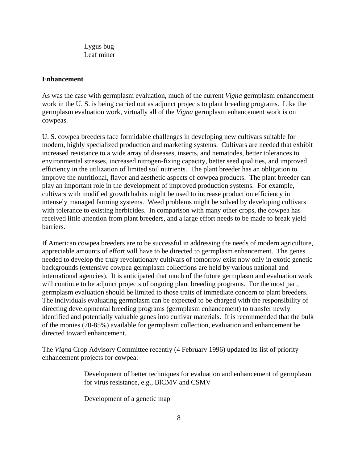Lygus bug Leaf miner

## **Enhancement**

As was the case with germplasm evaluation, much of the current *Vigna* germplasm enhancement work in the U. S. is being carried out as adjunct projects to plant breeding programs. Like the germplasm evaluation work, virtually all of the *Vigna* germplasm enhancement work is on cowpeas.

U. S. cowpea breeders face formidable challenges in developing new cultivars suitable for modern, highly specialized production and marketing systems. Cultivars are needed that exhibit increased resistance to a wide array of diseases, insects, and nematodes, better tolerances to environmental stresses, increased nitrogen-fixing capacity, better seed qualities, and improved efficiency in the utilization of limited soil nutrients. The plant breeder has an obligation to improve the nutritional, flavor and aesthetic aspects of cowpea products. The plant breeder can play an important role in the development of improved production systems. For example, cultivars with modified growth habits might be used to increase production efficiency in intensely managed farming systems. Weed problems might be solved by developing cultivars with tolerance to existing herbicides. In comparison with many other crops, the cowpea has received little attention from plant breeders, and a large effort needs to be made to break yield barriers.

If American cowpea breeders are to be successful in addressing the needs of modern agriculture, appreciable amounts of effort will have to be directed to germplasm enhancement. The genes needed to develop the truly revolutionary cultivars of tomorrow exist now only in exotic genetic backgrounds (extensive cowpea germplasm collections are held by various national and international agencies). It is anticipated that much of the future germplasm and evaluation work will continue to be adjunct projects of ongoing plant breeding programs. For the most part, germplasm evaluation should be limited to those traits of immediate concern to plant breeders. The individuals evaluating germplasm can be expected to be charged with the responsibility of directing developmental breeding programs (germplasm enhancement) to transfer newly identified and potentially valuable genes into cultivar materials. It is recommended that the bulk of the monies (70-85%) available for germplasm collection, evaluation and enhancement be directed toward enhancement.

The *Vigna* Crop Advisory Committee recently (4 February 1996) updated its list of priority enhancement projects for cowpea:

> Development of better techniques for evaluation and enhancement of germplasm for virus resistance, e.g., BlCMV and CSMV

Development of a genetic map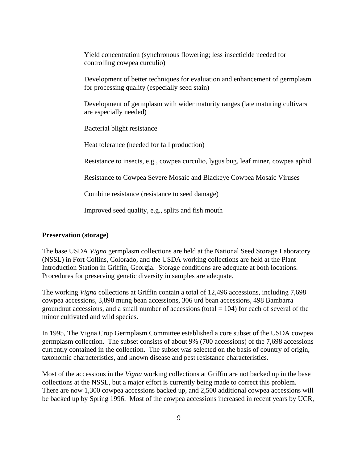Yield concentration (synchronous flowering; less insecticide needed for controlling cowpea curculio)

Development of better techniques for evaluation and enhancement of germplasm for processing quality (especially seed stain)

Development of germplasm with wider maturity ranges (late maturing cultivars are especially needed)

Bacterial blight resistance

Heat tolerance (needed for fall production)

Resistance to insects, e.g., cowpea curculio, lygus bug, leaf miner, cowpea aphid

Resistance to Cowpea Severe Mosaic and Blackeye Cowpea Mosaic Viruses

Combine resistance (resistance to seed damage)

Improved seed quality, e.g., splits and fish mouth

# **Preservation (storage)**

The base USDA *Vigna* germplasm collections are held at the National Seed Storage Laboratory (NSSL) in Fort Collins, Colorado, and the USDA working collections are held at the Plant Introduction Station in Griffin, Georgia. Storage conditions are adequate at both locations. Procedures for preserving genetic diversity in samples are adequate.

The working *Vigna* collections at Griffin contain a total of 12,496 accessions, including 7,698 cowpea accessions, 3,890 mung bean accessions, 306 urd bean accessions, 498 Bambarra groundnut accessions, and a small number of accessions (total  $= 104$ ) for each of several of the minor cultivated and wild species.

In 1995, The Vigna Crop Germplasm Committee established a core subset of the USDA cowpea germplasm collection. The subset consists of about 9% (700 accessions) of the 7,698 accessions currently contained in the collection. The subset was selected on the basis of country of origin, taxonomic characteristics, and known disease and pest resistance characteristics.

Most of the accessions in the *Vigna* working collections at Griffin are not backed up in the base collections at the NSSL, but a major effort is currently being made to correct this problem. There are now 1,300 cowpea accessions backed up, and 2,500 additional cowpea accessions will be backed up by Spring 1996. Most of the cowpea accessions increased in recent years by UCR,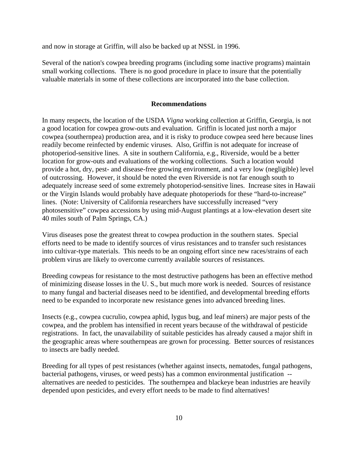and now in storage at Griffin, will also be backed up at NSSL in 1996.

Several of the nation's cowpea breeding programs (including some inactive programs) maintain small working collections. There is no good procedure in place to insure that the potentially valuable materials in some of these collections are incorporated into the base collection.

#### **Recommendations**

In many respects, the location of the USDA *Vigna* working collection at Griffin, Georgia, is not a good location for cowpea grow-outs and evaluation. Griffin is located just north a major cowpea (southernpea) production area, and it is risky to produce cowpea seed here because lines readily become reinfected by endemic viruses. Also, Griffin is not adequate for increase of photoperiod-sensitive lines. A site in southern California, e.g., Riverside, would be a better location for grow-outs and evaluations of the working collections. Such a location would provide a hot, dry, pest- and disease-free growing environment, and a very low (negligible) level of outcrossing. However, it should be noted the even Riverside is not far enough south to adequately increase seed of some extremely photoperiod-sensitive lines. Increase sites in Hawaii or the Virgin Islands would probably have adequate photoperiods for these "hard-to-increase" lines. (Note: University of California researchers have successfully increased "very photosensitive" cowpea accessions by using mid-August plantings at a low-elevation desert site 40 miles south of Palm Springs, CA.)

Virus diseases pose the greatest threat to cowpea production in the southern states. Special efforts need to be made to identify sources of virus resistances and to transfer such resistances into cultivar-type materials. This needs to be an ongoing effort since new races/strains of each problem virus are likely to overcome currently available sources of resistances.

Breeding cowpeas for resistance to the most destructive pathogens has been an effective method of minimizing disease losses in the U. S., but much more work is needed. Sources of resistance to many fungal and bacterial diseases need to be identified, and developmental breeding efforts need to be expanded to incorporate new resistance genes into advanced breeding lines.

Insects (e.g., cowpea cucrulio, cowpea aphid, lygus bug, and leaf miners) are major pests of the cowpea, and the problem has intensified in recent years because of the withdrawal of pesticide registrations. In fact, the unavailability of suitable pesticides has already caused a major shift in the geographic areas where southernpeas are grown for processing. Better sources of resistances to insects are badly needed.

Breeding for all types of pest resistances (whether against insects, nematodes, fungal pathogens, bacterial pathogens, viruses, or weed pests) has a common environmental justification - alternatives are needed to pesticides. The southernpea and blackeye bean industries are heavily depended upon pesticides, and every effort needs to be made to find alternatives!